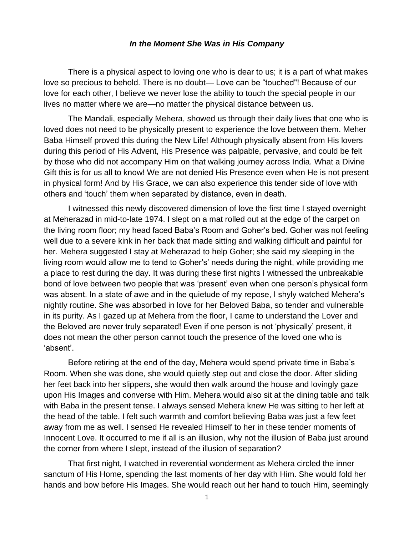## *In the Moment She Was in His Company*

There is a physical aspect to loving one who is dear to us; it is a part of what makes love so precious to behold. There is no doubt— Love can be "touched"! Because of our love for each other, I believe we never lose the ability to touch the special people in our lives no matter where we are—no matter the physical distance between us.

The Mandali, especially Mehera, showed us through their daily lives that one who is loved does not need to be physically present to experience the love between them. Meher Baba Himself proved this during the New Life! Although physically absent from His lovers during this period of His Advent, His Presence was palpable, pervasive, and could be felt by those who did not accompany Him on that walking journey across India. What a Divine Gift this is for us all to know! We are not denied His Presence even when He is not present in physical form! And by His Grace, we can also experience this tender side of love with others and 'touch' them when separated by distance, even in death.

I witnessed this newly discovered dimension of love the first time I stayed overnight at Meherazad in mid-to-late 1974. I slept on a mat rolled out at the edge of the carpet on the living room floor; my head faced Baba's Room and Goher's bed. Goher was not feeling well due to a severe kink in her back that made sitting and walking difficult and painful for her. Mehera suggested I stay at Meherazad to help Goher; she said my sleeping in the living room would allow me to tend to Goher's' needs during the night, while providing me a place to rest during the day. It was during these first nights I witnessed the unbreakable bond of love between two people that was 'present' even when one person's physical form was absent. In a state of awe and in the quietude of my repose, I shyly watched Mehera's nightly routine. She was absorbed in love for her Beloved Baba, so tender and vulnerable in its purity. As I gazed up at Mehera from the floor, I came to understand the Lover and the Beloved are never truly separated! Even if one person is not 'physically' present, it does not mean the other person cannot touch the presence of the loved one who is 'absent'.

Before retiring at the end of the day, Mehera would spend private time in Baba's Room. When she was done, she would quietly step out and close the door. After sliding her feet back into her slippers, she would then walk around the house and lovingly gaze upon His Images and converse with Him. Mehera would also sit at the dining table and talk with Baba in the present tense. I always sensed Mehera knew He was sitting to her left at the head of the table. I felt such warmth and comfort believing Baba was just a few feet away from me as well. I sensed He revealed Himself to her in these tender moments of Innocent Love. It occurred to me if all is an illusion, why not the illusion of Baba just around the corner from where I slept, instead of the illusion of separation?

That first night, I watched in reverential wonderment as Mehera circled the inner sanctum of His Home, spending the last moments of her day with Him. She would fold her hands and bow before His Images. She would reach out her hand to touch Him, seemingly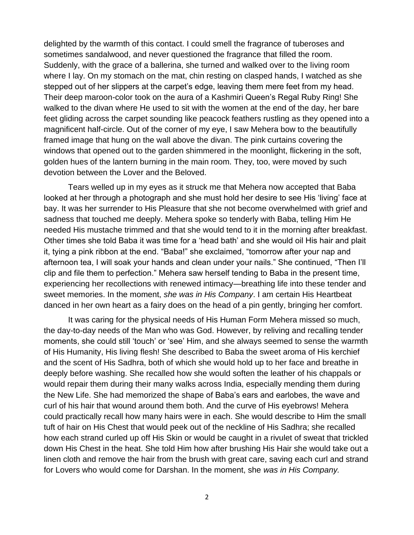delighted by the warmth of this contact. I could smell the fragrance of tuberoses and sometimes sandalwood, and never questioned the fragrance that filled the room. Suddenly, with the grace of a ballerina, she turned and walked over to the living room where I lay. On my stomach on the mat, chin resting on clasped hands, I watched as she stepped out of her slippers at the carpet's edge, leaving them mere feet from my head. Their deep maroon-color took on the aura of a Kashmiri Queen's Regal Ruby Ring! She walked to the divan where He used to sit with the women at the end of the day, her bare feet gliding across the carpet sounding like peacock feathers rustling as they opened into a magnificent half-circle. Out of the corner of my eye, I saw Mehera bow to the beautifully framed image that hung on the wall above the divan. The pink curtains covering the windows that opened out to the garden shimmered in the moonlight, flickering in the soft, golden hues of the lantern burning in the main room. They, too, were moved by such devotion between the Lover and the Beloved.

Tears welled up in my eyes as it struck me that Mehera now accepted that Baba looked at her through a photograph and she must hold her desire to see His 'living' face at bay. It was her surrender to His Pleasure that she not become overwhelmed with grief and sadness that touched me deeply. Mehera spoke so tenderly with Baba, telling Him He needed His mustache trimmed and that she would tend to it in the morning after breakfast. Other times she told Baba it was time for a 'head bath' and she would oil His hair and plait it, tying a pink ribbon at the end. "Baba!" she exclaimed, "tomorrow after your nap and afternoon tea, I will soak your hands and clean under your nails." She continued, "Then I'll clip and file them to perfection." Mehera saw herself tending to Baba in the present time, experiencing her recollections with renewed intimacy—breathing life into these tender and sweet memories. In the moment, *she was in His Company*. I am certain His Heartbeat danced in her own heart as a fairy does on the head of a pin gently, bringing her comfort.

It was caring for the physical needs of His Human Form Mehera missed so much, the day-to-day needs of the Man who was God. However, by reliving and recalling tender moments, she could still 'touch' or 'see' Him, and she always seemed to sense the warmth of His Humanity, His living flesh! She described to Baba the sweet aroma of His kerchief and the scent of His Sadhra, both of which she would hold up to her face and breathe in deeply before washing. She recalled how she would soften the leather of his chappals or would repair them during their many walks across India, especially mending them during the New Life. She had memorized the shape of Baba's ears and earlobes, the wave and curl of his hair that wound around them both. And the curve of His eyebrows! Mehera could practically recall how many hairs were in each. She would describe to Him the small tuft of hair on His Chest that would peek out of the neckline of His Sadhra; she recalled how each strand curled up off His Skin or would be caught in a rivulet of sweat that trickled down His Chest in the heat. She told Him how after brushing His Hair she would take out a linen cloth and remove the hair from the brush with great care, saving each curl and strand for Lovers who would come for Darshan. In the moment, she *was in His Company.*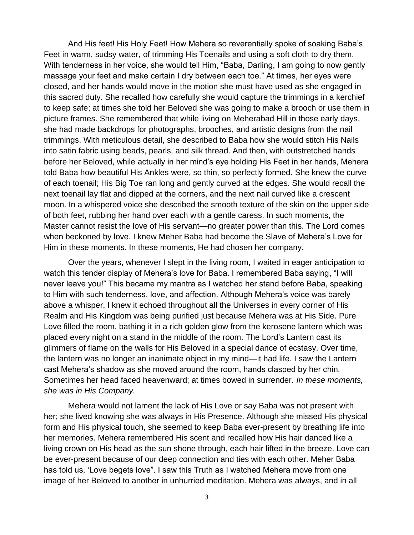And His feet! His Holy Feet! How Mehera so reverentially spoke of soaking Baba's Feet in warm, sudsy water, of trimming His Toenails and using a soft cloth to dry them. With tenderness in her voice, she would tell Him, "Baba, Darling, I am going to now gently massage your feet and make certain I dry between each toe." At times, her eyes were closed, and her hands would move in the motion she must have used as she engaged in this sacred duty. She recalled how carefully she would capture the trimmings in a kerchief to keep safe; at times she told her Beloved she was going to make a brooch or use them in picture frames. She remembered that while living on Meherabad Hill in those early days, she had made backdrops for photographs, brooches, and artistic designs from the nail trimmings. With meticulous detail, she described to Baba how she would stitch His Nails into satin fabric using beads, pearls, and silk thread. And then, with outstretched hands before her Beloved, while actually in her mind's eye holding His Feet in her hands, Mehera told Baba how beautiful His Ankles were, so thin, so perfectly formed. She knew the curve of each toenail; His Big Toe ran long and gently curved at the edges. She would recall the next toenail lay flat and dipped at the corners, and the next nail curved like a crescent moon. In a whispered voice she described the smooth texture of the skin on the upper side of both feet, rubbing her hand over each with a gentle caress. In such moments, the Master cannot resist the love of His servant—no greater power than this. The Lord comes when beckoned by love. I knew Meher Baba had become the Slave of Mehera's Love for Him in these moments. In these moments, He had chosen her company.

Over the years, whenever I slept in the living room, I waited in eager anticipation to watch this tender display of Mehera's love for Baba. I remembered Baba saying, "I will never leave you!" This became my mantra as I watched her stand before Baba, speaking to Him with such tenderness, love, and affection. Although Mehera's voice was barely above a whisper, I knew it echoed throughout all the Universes in every corner of His Realm and His Kingdom was being purified just because Mehera was at His Side. Pure Love filled the room, bathing it in a rich golden glow from the kerosene lantern which was placed every night on a stand in the middle of the room. The Lord's Lantern cast its glimmers of flame on the walls for His Beloved in a special dance of ecstasy. Over time, the lantern was no longer an inanimate object in my mind—it had life. I saw the Lantern cast Mehera's shadow as she moved around the room, hands clasped by her chin. Sometimes her head faced heavenward; at times bowed in surrender. *In these moments, she was in His Company.*

Mehera would not lament the lack of His Love or say Baba was not present with her; she lived knowing she was always in His Presence. Although she missed His physical form and His physical touch, she seemed to keep Baba ever-present by breathing life into her memories. Mehera remembered His scent and recalled how His hair danced like a living crown on His head as the sun shone through, each hair lifted in the breeze. Love can be ever-present because of our deep connection and ties with each other. Meher Baba has told us, 'Love begets love". I saw this Truth as I watched Mehera move from one image of her Beloved to another in unhurried meditation. Mehera was always, and in all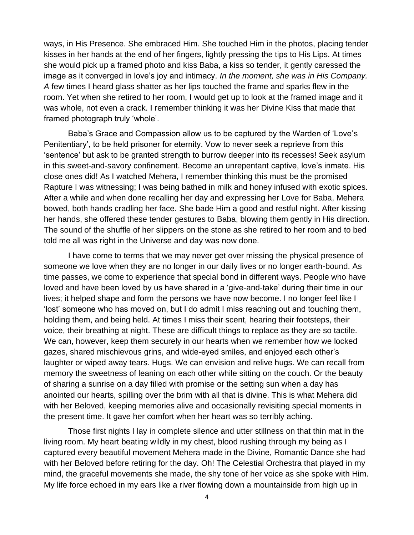ways, in His Presence. She embraced Him. She touched Him in the photos, placing tender kisses in her hands at the end of her fingers, lightly pressing the tips to His Lips. At times she would pick up a framed photo and kiss Baba, a kiss so tender, it gently caressed the image as it converged in love's joy and intimacy. *In the moment, she was in His Company. A* few times I heard glass shatter as her lips touched the frame and sparks flew in the room. Yet when she retired to her room, I would get up to look at the framed image and it was whole, not even a crack. I remember thinking it was her Divine Kiss that made that framed photograph truly 'whole'.

Baba's Grace and Compassion allow us to be captured by the Warden of 'Love's Penitentiary', to be held prisoner for eternity. Vow to never seek a reprieve from this 'sentence' but ask to be granted strength to burrow deeper into its recesses! Seek asylum in this sweet-and-savory confinement. Become an unrepentant captive, love's inmate. His close ones did! As I watched Mehera, I remember thinking this must be the promised Rapture I was witnessing; I was being bathed in milk and honey infused with exotic spices. After a while and when done recalling her day and expressing her Love for Baba, Mehera bowed, both hands cradling her face. She bade Him a good and restful night. After kissing her hands, she offered these tender gestures to Baba, blowing them gently in His direction. The sound of the shuffle of her slippers on the stone as she retired to her room and to bed told me all was right in the Universe and day was now done.

I have come to terms that we may never get over missing the physical presence of someone we love when they are no longer in our daily lives or no longer earth-bound. As time passes, we come to experience that special bond in different ways. People who have loved and have been loved by us have shared in a 'give-and-take' during their time in our lives; it helped shape and form the persons we have now become. I no longer feel like I 'lost' someone who has moved on, but I do admit I miss reaching out and touching them, holding them, and being held. At times I miss their scent, hearing their footsteps, their voice, their breathing at night. These are difficult things to replace as they are so tactile. We can, however, keep them securely in our hearts when we remember how we locked gazes, shared mischievous grins, and wide-eyed smiles, and enjoyed each other's laughter or wiped away tears. Hugs. We can envision and relive hugs. We can recall from memory the sweetness of leaning on each other while sitting on the couch. Or the beauty of sharing a sunrise on a day filled with promise or the setting sun when a day has anointed our hearts, spilling over the brim with all that is divine. This is what Mehera did with her Beloved, keeping memories alive and occasionally revisiting special moments in the present time. It gave her comfort when her heart was so terribly aching.

Those first nights I lay in complete silence and utter stillness on that thin mat in the living room. My heart beating wildly in my chest, blood rushing through my being as I captured every beautiful movement Mehera made in the Divine, Romantic Dance she had with her Beloved before retiring for the day. Oh! The Celestial Orchestra that played in my mind, the graceful movements she made, the shy tone of her voice as she spoke with Him. My life force echoed in my ears like a river flowing down a mountainside from high up in